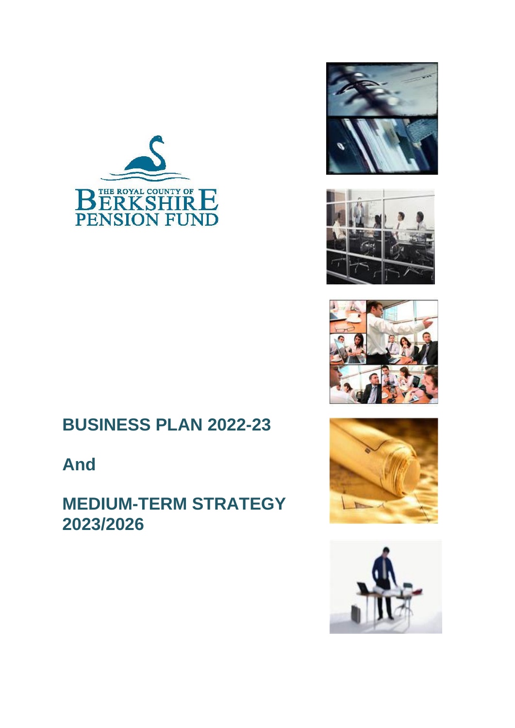

# **BUSINESS PLAN 2022-23**

**And**

## **MEDIUM-TERM STRATEGY 2023/2026**









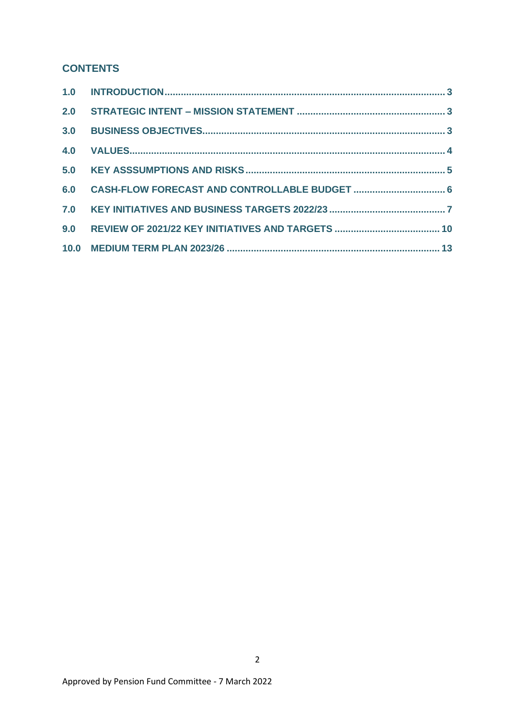### **CONTENTS**

| 6.0 CASH-FLOW FORECAST AND CONTROLLABLE BUDGET  6 |  |
|---------------------------------------------------|--|
|                                                   |  |
|                                                   |  |
|                                                   |  |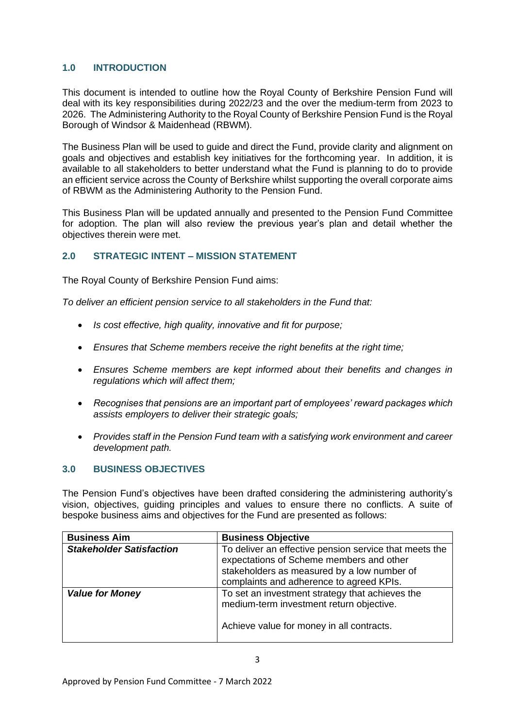#### <span id="page-2-0"></span>**1.0 INTRODUCTION**

This document is intended to outline how the Royal County of Berkshire Pension Fund will deal with its key responsibilities during 2022/23 and the over the medium-term from 2023 to 2026. The Administering Authority to the Royal County of Berkshire Pension Fund is the Royal Borough of Windsor & Maidenhead (RBWM).

The Business Plan will be used to guide and direct the Fund, provide clarity and alignment on goals and objectives and establish key initiatives for the forthcoming year. In addition, it is available to all stakeholders to better understand what the Fund is planning to do to provide an efficient service across the County of Berkshire whilst supporting the overall corporate aims of RBWM as the Administering Authority to the Pension Fund.

This Business Plan will be updated annually and presented to the Pension Fund Committee for adoption. The plan will also review the previous year's plan and detail whether the objectives therein were met.

#### <span id="page-2-1"></span>**2.0 STRATEGIC INTENT – MISSION STATEMENT**

The Royal County of Berkshire Pension Fund aims:

*To deliver an efficient pension service to all stakeholders in the Fund that:*

- *Is cost effective, high quality, innovative and fit for purpose;*
- *Ensures that Scheme members receive the right benefits at the right time;*
- *Ensures Scheme members are kept informed about their benefits and changes in regulations which will affect them;*
- *Recognises that pensions are an important part of employees' reward packages which assists employers to deliver their strategic goals;*
- *Provides staff in the Pension Fund team with a satisfying work environment and career development path.*

#### <span id="page-2-2"></span>**3.0 BUSINESS OBJECTIVES**

The Pension Fund's objectives have been drafted considering the administering authority's vision, objectives, guiding principles and values to ensure there no conflicts. A suite of bespoke business aims and objectives for the Fund are presented as follows:

| <b>Business Aim</b>             | <b>Business Objective</b>                                                                                                                                                                     |
|---------------------------------|-----------------------------------------------------------------------------------------------------------------------------------------------------------------------------------------------|
| <b>Stakeholder Satisfaction</b> | To deliver an effective pension service that meets the<br>expectations of Scheme members and other<br>stakeholders as measured by a low number of<br>complaints and adherence to agreed KPIs. |
| <b>Value for Money</b>          | To set an investment strategy that achieves the<br>medium-term investment return objective.<br>Achieve value for money in all contracts.                                                      |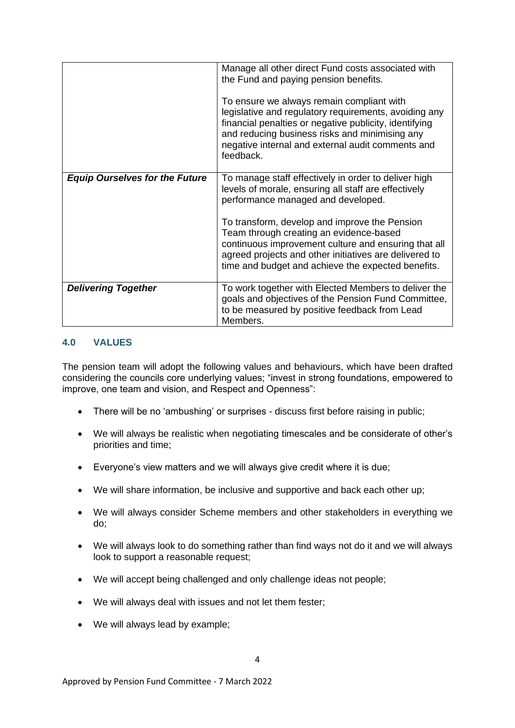|                                       | Manage all other direct Fund costs associated with<br>the Fund and paying pension benefits.<br>To ensure we always remain compliant with<br>legislative and regulatory requirements, avoiding any<br>financial penalties or negative publicity, identifying<br>and reducing business risks and minimising any<br>negative internal and external audit comments and<br>feedback.                                        |
|---------------------------------------|------------------------------------------------------------------------------------------------------------------------------------------------------------------------------------------------------------------------------------------------------------------------------------------------------------------------------------------------------------------------------------------------------------------------|
| <b>Equip Ourselves for the Future</b> | To manage staff effectively in order to deliver high<br>levels of morale, ensuring all staff are effectively<br>performance managed and developed.<br>To transform, develop and improve the Pension<br>Team through creating an evidence-based<br>continuous improvement culture and ensuring that all<br>agreed projects and other initiatives are delivered to<br>time and budget and achieve the expected benefits. |
| <b>Delivering Together</b>            | To work together with Elected Members to deliver the<br>goals and objectives of the Pension Fund Committee,<br>to be measured by positive feedback from Lead<br>Members.                                                                                                                                                                                                                                               |

#### <span id="page-3-0"></span>**4.0 VALUES**

The pension team will adopt the following values and behaviours, which have been drafted considering the councils core underlying values; "invest in strong foundations, empowered to improve, one team and vision, and Respect and Openness":

- There will be no 'ambushing' or surprises discuss first before raising in public;
- We will always be realistic when negotiating timescales and be considerate of other's priorities and time;
- Everyone's view matters and we will always give credit where it is due;
- We will share information, be inclusive and supportive and back each other up;
- We will always consider Scheme members and other stakeholders in everything we do;
- We will always look to do something rather than find ways not do it and we will always look to support a reasonable request;
- We will accept being challenged and only challenge ideas not people;
- We will always deal with issues and not let them fester;
- We will always lead by example;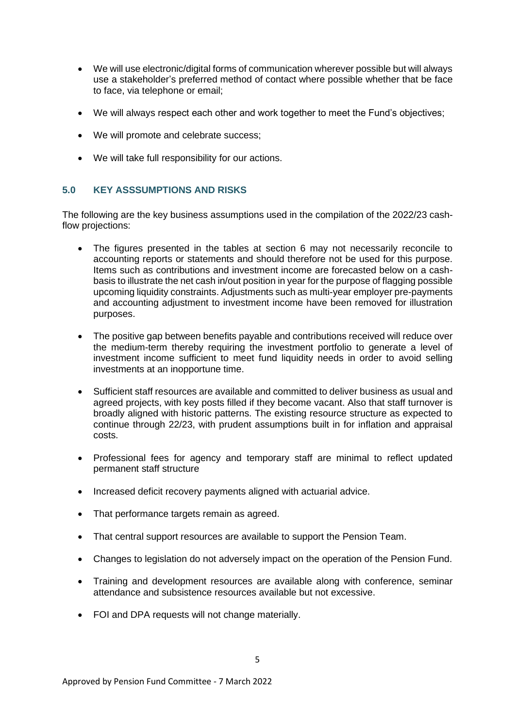- We will use electronic/digital forms of communication wherever possible but will always use a stakeholder's preferred method of contact where possible whether that be face to face, via telephone or email;
- We will always respect each other and work together to meet the Fund's objectives:
- We will promote and celebrate success;
- We will take full responsibility for our actions.

#### <span id="page-4-0"></span>**5.0 KEY ASSSUMPTIONS AND RISKS**

The following are the key business assumptions used in the compilation of the 2022/23 cashflow projections:

- The figures presented in the tables at section 6 may not necessarily reconcile to accounting reports or statements and should therefore not be used for this purpose. Items such as contributions and investment income are forecasted below on a cashbasis to illustrate the net cash in/out position in year for the purpose of flagging possible upcoming liquidity constraints. Adjustments such as multi-year employer pre-payments and accounting adjustment to investment income have been removed for illustration purposes.
- The positive gap between benefits payable and contributions received will reduce over the medium-term thereby requiring the investment portfolio to generate a level of investment income sufficient to meet fund liquidity needs in order to avoid selling investments at an inopportune time.
- Sufficient staff resources are available and committed to deliver business as usual and agreed projects, with key posts filled if they become vacant. Also that staff turnover is broadly aligned with historic patterns. The existing resource structure as expected to continue through 22/23, with prudent assumptions built in for inflation and appraisal costs.
- Professional fees for agency and temporary staff are minimal to reflect updated permanent staff structure
- Increased deficit recovery payments aligned with actuarial advice.
- That performance targets remain as agreed.
- That central support resources are available to support the Pension Team.
- Changes to legislation do not adversely impact on the operation of the Pension Fund.
- Training and development resources are available along with conference, seminar attendance and subsistence resources available but not excessive.
- FOI and DPA requests will not change materially.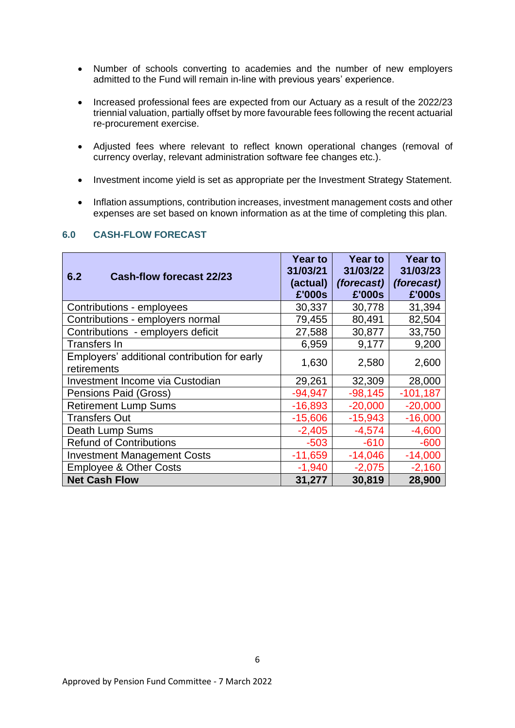- Number of schools converting to academies and the number of new employers admitted to the Fund will remain in-line with previous years' experience.
- Increased professional fees are expected from our Actuary as a result of the 2022/23 triennial valuation, partially offset by more favourable fees following the recent actuarial re-procurement exercise.
- Adjusted fees where relevant to reflect known operational changes (removal of currency overlay, relevant administration software fee changes etc.).
- Investment income yield is set as appropriate per the Investment Strategy Statement.
- Inflation assumptions, contribution increases, investment management costs and other expenses are set based on known information as at the time of completing this plan.

|                                                             | <b>Year to</b><br>31/03/21 | <b>Year to</b><br>31/03/22 | <b>Year to</b><br>31/03/23 |
|-------------------------------------------------------------|----------------------------|----------------------------|----------------------------|
| 6.2<br><b>Cash-flow forecast 22/23</b>                      | (actual)                   | (forecast)                 | (forecast)                 |
|                                                             | £'000s                     | £'000s                     | £'000s                     |
| Contributions - employees                                   | 30,337                     | 30,778                     | 31,394                     |
| Contributions - employers normal                            | 79,455                     | 80,491                     | 82,504                     |
| Contributions - employers deficit                           | 27,588                     | 30,877                     | 33,750                     |
| Transfers In                                                | 6,959                      | 9,177                      | 9,200                      |
| Employers' additional contribution for early<br>retirements | 1,630                      | 2,580                      | 2,600                      |
| Investment Income via Custodian                             | 29,261                     | 32,309                     | 28,000                     |
| <b>Pensions Paid (Gross)</b>                                | $-94,947$                  | $-98,145$                  | $-101,187$                 |
| <b>Retirement Lump Sums</b>                                 | $-16,893$                  | $-20,000$                  | $-20,000$                  |
| <b>Transfers Out</b>                                        | $-15,606$                  | $-15,943$                  | $-16,000$                  |
| Death Lump Sums                                             | $-2,405$                   | $-4,574$                   | $-4,600$                   |
| <b>Refund of Contributions</b>                              | $-503$                     | $-610$                     | $-600$                     |
| <b>Investment Management Costs</b>                          | $-11,659$                  | $-14,046$                  | $-14,000$                  |
| <b>Employee &amp; Other Costs</b>                           | $-1,940$                   | $-2,075$                   | $-2,160$                   |
| <b>Net Cash Flow</b>                                        | 31,277                     | 30,819                     | 28,900                     |

#### <span id="page-5-0"></span>**6.0 CASH-FLOW FORECAST**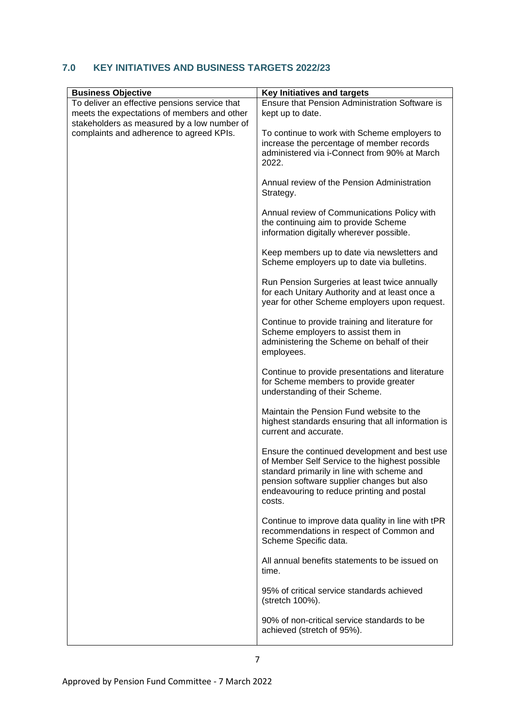## <span id="page-6-0"></span>**7.0 KEY INITIATIVES AND BUSINESS TARGETS 2022/23**

| <b>Business Objective</b>                     | Key Initiatives and targets                                                                    |
|-----------------------------------------------|------------------------------------------------------------------------------------------------|
| To deliver an effective pensions service that | Ensure that Pension Administration Software is                                                 |
| meets the expectations of members and other   | kept up to date.                                                                               |
| stakeholders as measured by a low number of   |                                                                                                |
| complaints and adherence to agreed KPIs.      | To continue to work with Scheme employers to                                                   |
|                                               | increase the percentage of member records<br>administered via i-Connect from 90% at March      |
|                                               | 2022.                                                                                          |
|                                               |                                                                                                |
|                                               | Annual review of the Pension Administration                                                    |
|                                               | Strategy.                                                                                      |
|                                               | Annual review of Communications Policy with                                                    |
|                                               | the continuing aim to provide Scheme                                                           |
|                                               | information digitally wherever possible.                                                       |
|                                               |                                                                                                |
|                                               | Keep members up to date via newsletters and                                                    |
|                                               | Scheme employers up to date via bulletins.                                                     |
|                                               | Run Pension Surgeries at least twice annually                                                  |
|                                               | for each Unitary Authority and at least once a                                                 |
|                                               | year for other Scheme employers upon request.                                                  |
|                                               | Continue to provide training and literature for                                                |
|                                               | Scheme employers to assist them in                                                             |
|                                               | administering the Scheme on behalf of their                                                    |
|                                               | employees.                                                                                     |
|                                               | Continue to provide presentations and literature                                               |
|                                               | for Scheme members to provide greater                                                          |
|                                               | understanding of their Scheme.                                                                 |
|                                               |                                                                                                |
|                                               | Maintain the Pension Fund website to the<br>highest standards ensuring that all information is |
|                                               | current and accurate.                                                                          |
|                                               |                                                                                                |
|                                               | Ensure the continued development and best use                                                  |
|                                               | of Member Self Service to the highest possible<br>standard primarily in line with scheme and   |
|                                               | pension software supplier changes but also                                                     |
|                                               | endeavouring to reduce printing and postal                                                     |
|                                               | costs.                                                                                         |
|                                               |                                                                                                |
|                                               | Continue to improve data quality in line with tPR<br>recommendations in respect of Common and  |
|                                               | Scheme Specific data.                                                                          |
|                                               |                                                                                                |
|                                               | All annual benefits statements to be issued on<br>time.                                        |
|                                               |                                                                                                |
|                                               | 95% of critical service standards achieved                                                     |
|                                               | (stretch 100%).                                                                                |
|                                               |                                                                                                |
|                                               | 90% of non-critical service standards to be<br>achieved (stretch of 95%).                      |
|                                               |                                                                                                |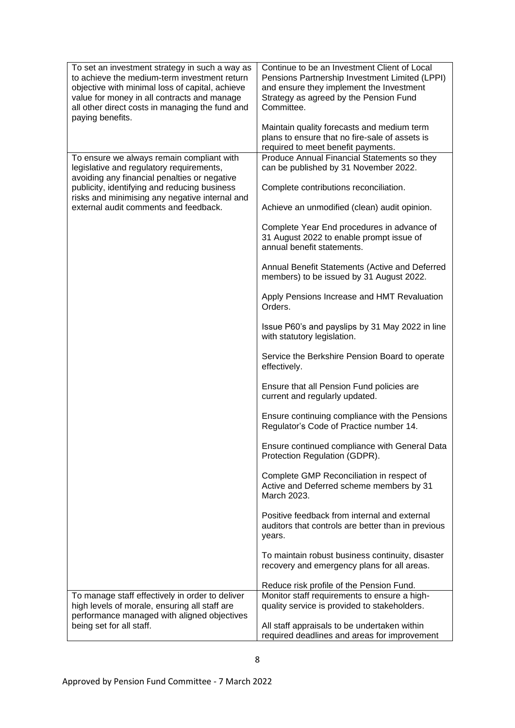| To set an investment strategy in such a way as<br>to achieve the medium-term investment return<br>objective with minimal loss of capital, achieve<br>value for money in all contracts and manage<br>all other direct costs in managing the fund and<br>paying benefits. | Continue to be an Investment Client of Local<br>Pensions Partnership Investment Limited (LPPI)<br>and ensure they implement the Investment<br>Strategy as agreed by the Pension Fund<br>Committee. |
|-------------------------------------------------------------------------------------------------------------------------------------------------------------------------------------------------------------------------------------------------------------------------|----------------------------------------------------------------------------------------------------------------------------------------------------------------------------------------------------|
|                                                                                                                                                                                                                                                                         | Maintain quality forecasts and medium term<br>plans to ensure that no fire-sale of assets is<br>required to meet benefit payments.                                                                 |
| To ensure we always remain compliant with<br>legislative and regulatory requirements,<br>avoiding any financial penalties or negative                                                                                                                                   | Produce Annual Financial Statements so they<br>can be published by 31 November 2022.                                                                                                               |
| publicity, identifying and reducing business<br>risks and minimising any negative internal and                                                                                                                                                                          | Complete contributions reconciliation.                                                                                                                                                             |
| external audit comments and feedback.                                                                                                                                                                                                                                   | Achieve an unmodified (clean) audit opinion.                                                                                                                                                       |
|                                                                                                                                                                                                                                                                         | Complete Year End procedures in advance of<br>31 August 2022 to enable prompt issue of<br>annual benefit statements.                                                                               |
|                                                                                                                                                                                                                                                                         | Annual Benefit Statements (Active and Deferred<br>members) to be issued by 31 August 2022.                                                                                                         |
|                                                                                                                                                                                                                                                                         | Apply Pensions Increase and HMT Revaluation<br>Orders.                                                                                                                                             |
|                                                                                                                                                                                                                                                                         | Issue P60's and payslips by 31 May 2022 in line<br>with statutory legislation.                                                                                                                     |
|                                                                                                                                                                                                                                                                         | Service the Berkshire Pension Board to operate<br>effectively.                                                                                                                                     |
|                                                                                                                                                                                                                                                                         | Ensure that all Pension Fund policies are<br>current and regularly updated.                                                                                                                        |
|                                                                                                                                                                                                                                                                         | Ensure continuing compliance with the Pensions<br>Regulator's Code of Practice number 14.                                                                                                          |
|                                                                                                                                                                                                                                                                         | Ensure continued compliance with General Data<br>Protection Regulation (GDPR).                                                                                                                     |
|                                                                                                                                                                                                                                                                         | Complete GMP Reconciliation in respect of<br>Active and Deferred scheme members by 31<br>March 2023.                                                                                               |
|                                                                                                                                                                                                                                                                         | Positive feedback from internal and external<br>auditors that controls are better than in previous<br>years.                                                                                       |
|                                                                                                                                                                                                                                                                         | To maintain robust business continuity, disaster<br>recovery and emergency plans for all areas.                                                                                                    |
|                                                                                                                                                                                                                                                                         | Reduce risk profile of the Pension Fund.                                                                                                                                                           |
| To manage staff effectively in order to deliver<br>high levels of morale, ensuring all staff are<br>performance managed with aligned objectives                                                                                                                         | Monitor staff requirements to ensure a high-<br>quality service is provided to stakeholders.                                                                                                       |
| being set for all staff.                                                                                                                                                                                                                                                | All staff appraisals to be undertaken within<br>required deadlines and areas for improvement                                                                                                       |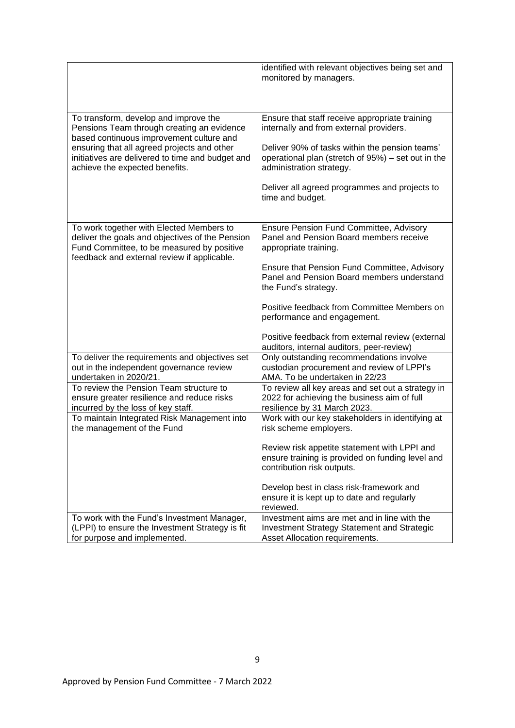|                                                                                                                                                                                                                                                                      | identified with relevant objectives being set and<br>monitored by managers.                                                                                                                                                                                                                                                                                                                                      |
|----------------------------------------------------------------------------------------------------------------------------------------------------------------------------------------------------------------------------------------------------------------------|------------------------------------------------------------------------------------------------------------------------------------------------------------------------------------------------------------------------------------------------------------------------------------------------------------------------------------------------------------------------------------------------------------------|
| To transform, develop and improve the<br>Pensions Team through creating an evidence<br>based continuous improvement culture and<br>ensuring that all agreed projects and other<br>initiatives are delivered to time and budget and<br>achieve the expected benefits. | Ensure that staff receive appropriate training<br>internally and from external providers.<br>Deliver 90% of tasks within the pension teams'<br>operational plan (stretch of 95%) - set out in the<br>administration strategy.<br>Deliver all agreed programmes and projects to<br>time and budget.                                                                                                               |
| To work together with Elected Members to<br>deliver the goals and objectives of the Pension<br>Fund Committee, to be measured by positive<br>feedback and external review if applicable.                                                                             | Ensure Pension Fund Committee, Advisory<br>Panel and Pension Board members receive<br>appropriate training.<br>Ensure that Pension Fund Committee, Advisory<br>Panel and Pension Board members understand<br>the Fund's strategy.<br>Positive feedback from Committee Members on<br>performance and engagement.<br>Positive feedback from external review (external<br>auditors, internal auditors, peer-review) |
| To deliver the requirements and objectives set<br>out in the independent governance review<br>undertaken in 2020/21.                                                                                                                                                 | Only outstanding recommendations involve<br>custodian procurement and review of LPPI's<br>AMA. To be undertaken in 22/23                                                                                                                                                                                                                                                                                         |
| To review the Pension Team structure to<br>ensure greater resilience and reduce risks<br>incurred by the loss of key staff.                                                                                                                                          | To review all key areas and set out a strategy in<br>2022 for achieving the business aim of full<br>resilience by 31 March 2023.                                                                                                                                                                                                                                                                                 |
| To maintain Integrated Risk Management into<br>the management of the Fund                                                                                                                                                                                            | Work with our key stakeholders in identifying at<br>risk scheme employers.<br>Review risk appetite statement with LPPI and<br>ensure training is provided on funding level and<br>contribution risk outputs.<br>Develop best in class risk-framework and<br>ensure it is kept up to date and regularly<br>reviewed.                                                                                              |
| To work with the Fund's Investment Manager,<br>(LPPI) to ensure the Investment Strategy is fit<br>for purpose and implemented.                                                                                                                                       | Investment aims are met and in line with the<br><b>Investment Strategy Statement and Strategic</b><br>Asset Allocation requirements.                                                                                                                                                                                                                                                                             |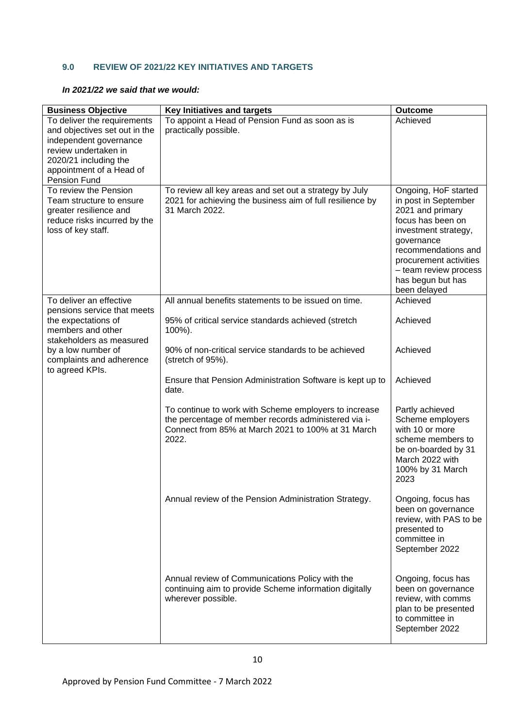#### <span id="page-9-0"></span>**9.0 REVIEW OF 2021/22 KEY INITIATIVES AND TARGETS**

#### *In 2021/22 we said that we would:*

| <b>Business Objective</b>                                                                                                                                                           | Key Initiatives and targets                                                                                                                                                  | <b>Outcome</b>                                                                                                                                                                                                                             |
|-------------------------------------------------------------------------------------------------------------------------------------------------------------------------------------|------------------------------------------------------------------------------------------------------------------------------------------------------------------------------|--------------------------------------------------------------------------------------------------------------------------------------------------------------------------------------------------------------------------------------------|
| To deliver the requirements<br>and objectives set out in the<br>independent governance<br>review undertaken in<br>2020/21 including the<br>appointment of a Head of<br>Pension Fund | To appoint a Head of Pension Fund as soon as is<br>practically possible.                                                                                                     | Achieved                                                                                                                                                                                                                                   |
| To review the Pension<br>Team structure to ensure<br>greater resilience and<br>reduce risks incurred by the<br>loss of key staff.                                                   | To review all key areas and set out a strategy by July<br>2021 for achieving the business aim of full resilience by<br>31 March 2022.                                        | Ongoing, HoF started<br>in post in September<br>2021 and primary<br>focus has been on<br>investment strategy,<br>governance<br>recommendations and<br>procurement activities<br>- team review process<br>has begun but has<br>been delayed |
| To deliver an effective                                                                                                                                                             | All annual benefits statements to be issued on time.                                                                                                                         | Achieved                                                                                                                                                                                                                                   |
| pensions service that meets<br>the expectations of<br>members and other<br>stakeholders as measured                                                                                 | 95% of critical service standards achieved (stretch<br>100%).                                                                                                                | Achieved                                                                                                                                                                                                                                   |
| by a low number of<br>complaints and adherence<br>to agreed KPIs.                                                                                                                   | 90% of non-critical service standards to be achieved<br>(stretch of 95%).                                                                                                    | Achieved                                                                                                                                                                                                                                   |
|                                                                                                                                                                                     | Ensure that Pension Administration Software is kept up to<br>date.                                                                                                           | Achieved                                                                                                                                                                                                                                   |
|                                                                                                                                                                                     | To continue to work with Scheme employers to increase<br>the percentage of member records administered via i-<br>Connect from 85% at March 2021 to 100% at 31 March<br>2022. | Partly achieved<br>Scheme employers<br>with 10 or more<br>scheme members to<br>be on-boarded by 31<br>March 2022 with<br>100% by 31 March<br>2023                                                                                          |
|                                                                                                                                                                                     | Annual review of the Pension Administration Strategy.                                                                                                                        | Ongoing, focus has<br>been on governance<br>review, with PAS to be<br>presented to<br>committee in<br>September 2022                                                                                                                       |
|                                                                                                                                                                                     | Annual review of Communications Policy with the<br>continuing aim to provide Scheme information digitally<br>wherever possible.                                              | Ongoing, focus has<br>been on governance<br>review, with comms<br>plan to be presented<br>to committee in<br>September 2022                                                                                                                |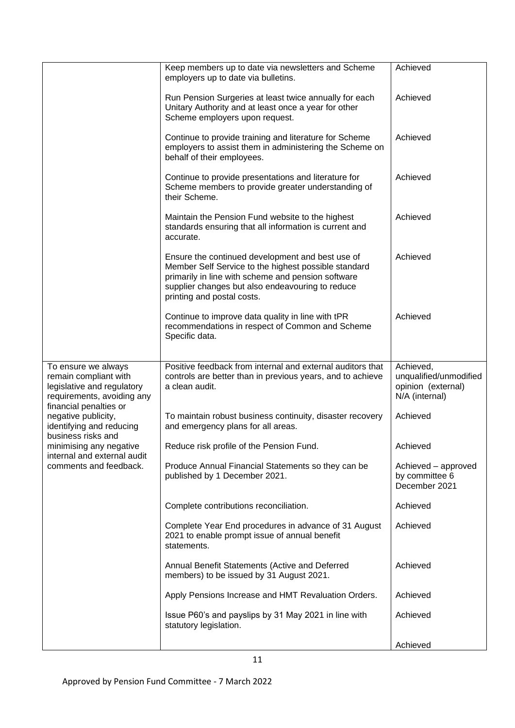|                                                                                                                                    | Keep members up to date via newsletters and Scheme<br>employers up to date via bulletins.                                                                                                                                                        | Achieved                                                                    |
|------------------------------------------------------------------------------------------------------------------------------------|--------------------------------------------------------------------------------------------------------------------------------------------------------------------------------------------------------------------------------------------------|-----------------------------------------------------------------------------|
|                                                                                                                                    | Run Pension Surgeries at least twice annually for each<br>Unitary Authority and at least once a year for other<br>Scheme employers upon request.                                                                                                 | Achieved                                                                    |
|                                                                                                                                    | Continue to provide training and literature for Scheme<br>employers to assist them in administering the Scheme on<br>behalf of their employees.                                                                                                  | Achieved                                                                    |
|                                                                                                                                    | Continue to provide presentations and literature for<br>Scheme members to provide greater understanding of<br>their Scheme.                                                                                                                      | Achieved                                                                    |
|                                                                                                                                    | Maintain the Pension Fund website to the highest<br>standards ensuring that all information is current and<br>accurate.                                                                                                                          | Achieved                                                                    |
|                                                                                                                                    | Ensure the continued development and best use of<br>Member Self Service to the highest possible standard<br>primarily in line with scheme and pension software<br>supplier changes but also endeavouring to reduce<br>printing and postal costs. | Achieved                                                                    |
|                                                                                                                                    | Continue to improve data quality in line with tPR<br>recommendations in respect of Common and Scheme<br>Specific data.                                                                                                                           | Achieved                                                                    |
| To ensure we always<br>remain compliant with<br>legislative and regulatory<br>requirements, avoiding any<br>financial penalties or | Positive feedback from internal and external auditors that<br>controls are better than in previous years, and to achieve<br>a clean audit.                                                                                                       | Achieved,<br>unqualified/unmodified<br>opinion (external)<br>N/A (internal) |
| negative publicity,<br>identifying and reducing<br>business risks and                                                              | To maintain robust business continuity, disaster recovery<br>and emergency plans for all areas.                                                                                                                                                  | Achieved                                                                    |
| minimising any negative<br>internal and external audit                                                                             | Reduce risk profile of the Pension Fund.                                                                                                                                                                                                         | Achieved                                                                    |
| comments and feedback.                                                                                                             | Produce Annual Financial Statements so they can be<br>published by 1 December 2021.                                                                                                                                                              | Achieved – approved<br>by committee 6<br>December 2021                      |
|                                                                                                                                    | Complete contributions reconciliation.                                                                                                                                                                                                           | Achieved                                                                    |
|                                                                                                                                    | Complete Year End procedures in advance of 31 August<br>2021 to enable prompt issue of annual benefit<br>statements.                                                                                                                             | Achieved                                                                    |
|                                                                                                                                    | Annual Benefit Statements (Active and Deferred<br>members) to be issued by 31 August 2021.                                                                                                                                                       | Achieved                                                                    |
|                                                                                                                                    | Apply Pensions Increase and HMT Revaluation Orders.                                                                                                                                                                                              | Achieved                                                                    |
|                                                                                                                                    | Issue P60's and payslips by 31 May 2021 in line with<br>statutory legislation.                                                                                                                                                                   | Achieved                                                                    |
|                                                                                                                                    |                                                                                                                                                                                                                                                  | Achieved                                                                    |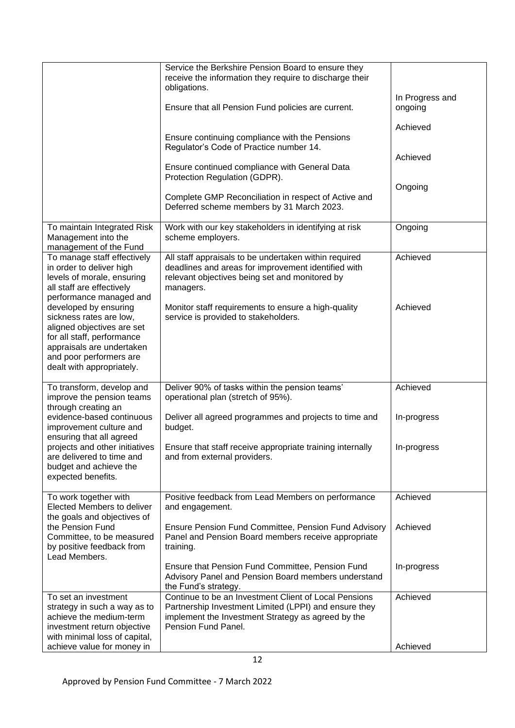|                                                                                                                                                                                                   | Service the Berkshire Pension Board to ensure they<br>receive the information they require to discharge their<br>obligations.<br>Ensure that all Pension Fund policies are current.<br>Ensure continuing compliance with the Pensions<br>Regulator's Code of Practice number 14.<br>Ensure continued compliance with General Data<br>Protection Regulation (GDPR). | In Progress and<br>ongoing<br>Achieved<br>Achieved<br>Ongoing |
|---------------------------------------------------------------------------------------------------------------------------------------------------------------------------------------------------|--------------------------------------------------------------------------------------------------------------------------------------------------------------------------------------------------------------------------------------------------------------------------------------------------------------------------------------------------------------------|---------------------------------------------------------------|
|                                                                                                                                                                                                   | Complete GMP Reconciliation in respect of Active and<br>Deferred scheme members by 31 March 2023.                                                                                                                                                                                                                                                                  |                                                               |
| To maintain Integrated Risk<br>Management into the<br>management of the Fund                                                                                                                      | Work with our key stakeholders in identifying at risk<br>scheme employers.                                                                                                                                                                                                                                                                                         | Ongoing                                                       |
| To manage staff effectively<br>in order to deliver high<br>levels of morale, ensuring<br>all staff are effectively<br>performance managed and                                                     | All staff appraisals to be undertaken within required<br>deadlines and areas for improvement identified with<br>relevant objectives being set and monitored by<br>managers.                                                                                                                                                                                        | Achieved                                                      |
| developed by ensuring<br>sickness rates are low,<br>aligned objectives are set<br>for all staff, performance<br>appraisals are undertaken<br>and poor performers are<br>dealt with appropriately. | Monitor staff requirements to ensure a high-quality<br>service is provided to stakeholders.                                                                                                                                                                                                                                                                        | Achieved                                                      |
| To transform, develop and<br>improve the pension teams<br>through creating an                                                                                                                     | Deliver 90% of tasks within the pension teams'<br>operational plan (stretch of 95%).                                                                                                                                                                                                                                                                               | Achieved                                                      |
| evidence-based continuous<br>improvement culture and<br>ensuring that all agreed                                                                                                                  | Deliver all agreed programmes and projects to time and<br>budget.                                                                                                                                                                                                                                                                                                  | In-progress                                                   |
| projects and other initiatives<br>are delivered to time and<br>budget and achieve the<br>expected benefits.                                                                                       | Ensure that staff receive appropriate training internally<br>and from external providers.                                                                                                                                                                                                                                                                          | In-progress                                                   |
| To work together with<br>Elected Members to deliver<br>the goals and objectives of                                                                                                                | Positive feedback from Lead Members on performance<br>and engagement.                                                                                                                                                                                                                                                                                              | Achieved                                                      |
| the Pension Fund<br>Committee, to be measured<br>by positive feedback from<br>Lead Members.                                                                                                       | Ensure Pension Fund Committee, Pension Fund Advisory<br>Panel and Pension Board members receive appropriate<br>training.                                                                                                                                                                                                                                           | Achieved                                                      |
|                                                                                                                                                                                                   | Ensure that Pension Fund Committee, Pension Fund<br>Advisory Panel and Pension Board members understand<br>the Fund's strategy.                                                                                                                                                                                                                                    | In-progress                                                   |
| To set an investment<br>strategy in such a way as to<br>achieve the medium-term<br>investment return objective<br>with minimal loss of capital,                                                   | Continue to be an Investment Client of Local Pensions<br>Partnership Investment Limited (LPPI) and ensure they<br>implement the Investment Strategy as agreed by the<br>Pension Fund Panel.                                                                                                                                                                        | Achieved                                                      |
| achieve value for money in                                                                                                                                                                        |                                                                                                                                                                                                                                                                                                                                                                    | Achieved                                                      |